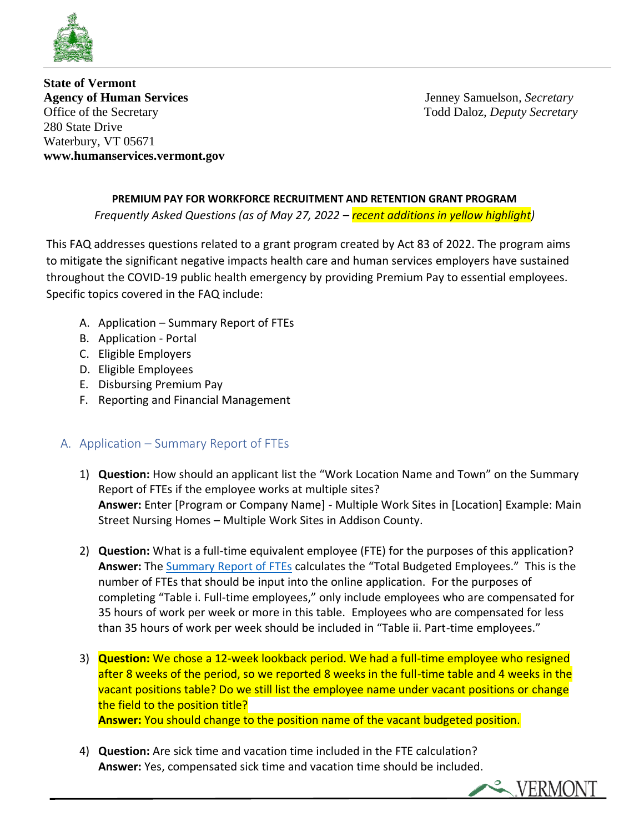

**State of Vermont Agency of Human Services** Jenney Samuelson*, Secretary* Office of the Secretary Todd Daloz*, Deputy Secretary* 280 State Drive Waterbury, VT 05671 **www.humanservices.vermont.gov**

#### **PREMIUM PAY FOR WORKFORCE RECRUITMENT AND RETENTION GRANT PROGRAM**

*Frequently Asked Questions (as of May 27, 2022 – recent additions in yellow highlight)*

This FAQ addresses questions related to a grant program created by Act 83 of 2022. The program aims to mitigate the significant negative impacts health care and human services employers have sustained throughout the COVID-19 public health emergency by providing Premium Pay to essential employees. Specific topics covered in the FAQ include:

- A. Application Summary Report of FTEs
- B. Application Portal
- C. Eligible Employers
- D. Eligible Employees
- E. Disbursing Premium Pay
- F. Reporting and Financial Management

### A. Application – Summary Report of FTEs

- 1) **Question:** How should an applicant list the "Work Location Name and Town" on the Summary Report of FTEs if the employee works at multiple sites? **Answer:** Enter [Program or Company Name] - Multiple Work Sites in [Location] Example: Main Street Nursing Homes – Multiple Work Sites in Addison County.
- 2) **Question:** What is a full-time equivalent employee (FTE) for the purposes of this application? **Answer:** The [Summary Report of FTEs](https://humanservices.vermont.gov/sites/ahsnew/files/documents/Summary%20Report%20of%20FTEs.xlsx) calculates the "Total Budgeted Employees." This is the number of FTEs that should be input into the online application. For the purposes of completing "Table i. Full-time employees," only include employees who are compensated for 35 hours of work per week or more in this table. Employees who are compensated for less than 35 hours of work per week should be included in "Table ii. Part-time employees."
- 3) **Question:** We chose a 12-week lookback period. We had a full-time employee who resigned after 8 weeks of the period, so we reported 8 weeks in the full-time table and 4 weeks in the vacant positions table? Do we still list the employee name under vacant positions or change the field to the position title? **Answer:** You should change to the position name of the vacant budgeted position.
- 4) **Question:** Are sick time and vacation time included in the FTE calculation?
	- **Answer:** Yes, compensated sick time and vacation time should be included.

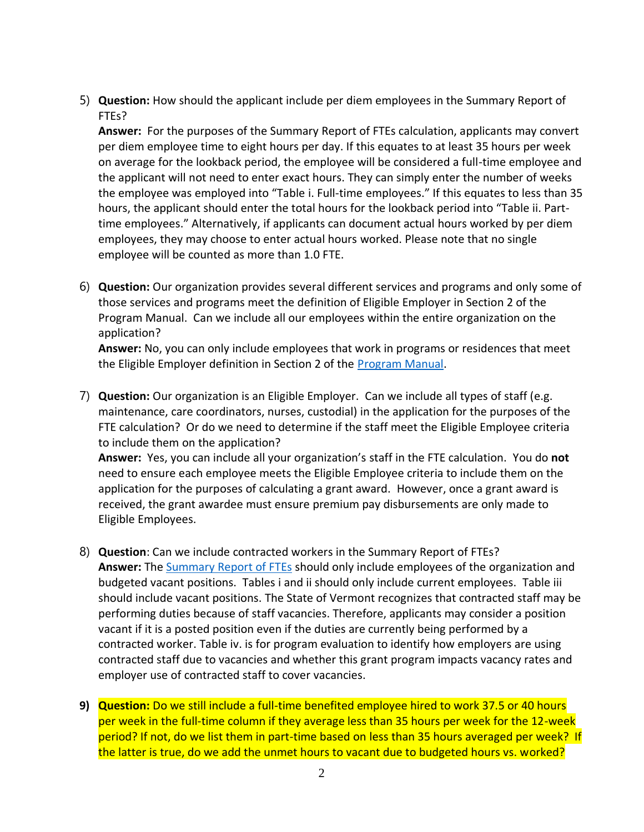5) **Question:** How should the applicant include per diem employees in the Summary Report of FTEs?

**Answer:** For the purposes of the Summary Report of FTEs calculation, applicants may convert per diem employee time to eight hours per day. If this equates to at least 35 hours per week on average for the lookback period, the employee will be considered a full-time employee and the applicant will not need to enter exact hours. They can simply enter the number of weeks the employee was employed into "Table i. Full-time employees." If this equates to less than 35 hours, the applicant should enter the total hours for the lookback period into "Table ii. Parttime employees." Alternatively, if applicants can document actual hours worked by per diem employees, they may choose to enter actual hours worked. Please note that no single employee will be counted as more than 1.0 FTE.

6) **Question:** Our organization provides several different services and programs and only some of those services and programs meet the definition of Eligible Employer in Section 2 of the Program Manual. Can we include all our employees within the entire organization on the application?

**Answer:** No, you can only include employees that work in programs or residences that meet the Eligible Employer definition in Section 2 of the [Program Manual.](https://humanservices.vermont.gov/sites/ahsnew/files/documents/Premium%20Pay%20Program%20Guidance.pdf)

7) **Question:** Our organization is an Eligible Employer. Can we include all types of staff (e.g. maintenance, care coordinators, nurses, custodial) in the application for the purposes of the FTE calculation? Or do we need to determine if the staff meet the Eligible Employee criteria to include them on the application?

**Answer:** Yes, you can include all your organization's staff in the FTE calculation. You do **not** need to ensure each employee meets the Eligible Employee criteria to include them on the application for the purposes of calculating a grant award. However, once a grant award is received, the grant awardee must ensure premium pay disbursements are only made to Eligible Employees.

- 8) **Question**: Can we include contracted workers in the Summary Report of FTEs? **Answer:** The [Summary Report of FTEs](https://humanservices.vermont.gov/sites/ahsnew/files/documents/Summary%20Report%20of%20FTEs.xlsx) should only include employees of the organization and budgeted vacant positions. Tables i and ii should only include current employees. Table iii should include vacant positions. The State of Vermont recognizes that contracted staff may be performing duties because of staff vacancies. Therefore, applicants may consider a position vacant if it is a posted position even if the duties are currently being performed by a contracted worker. Table iv. is for program evaluation to identify how employers are using contracted staff due to vacancies and whether this grant program impacts vacancy rates and employer use of contracted staff to cover vacancies.
- **9) Question:** Do we still include a full-time benefited employee hired to work 37.5 or 40 hours per week in the full-time column if they average less than 35 hours per week for the 12-week period? If not, do we list them in part-time based on less than 35 hours averaged per week? If the latter is true, do we add the unmet hours to vacant due to budgeted hours vs. worked?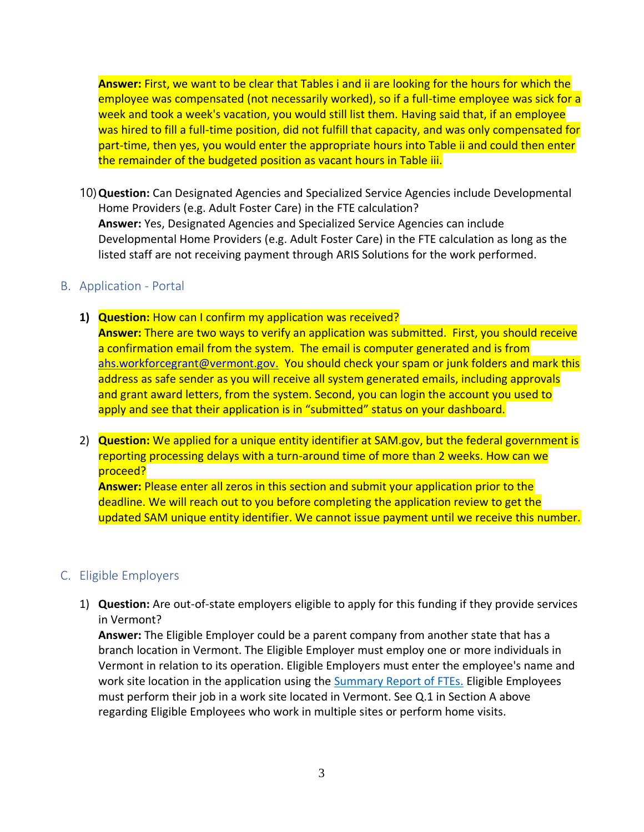**Answer:** First, we want to be clear that Tables i and ii are looking for the hours for which the employee was compensated (not necessarily worked), so if a full-time employee was sick for a week and took a week's vacation, you would still list them. Having said that, if an employee was hired to fill a full-time position, did not fulfill that capacity, and was only compensated for part-time, then yes, you would enter the appropriate hours into Table ii and could then enter the remainder of the budgeted position as vacant hours in Table iii.

10)**Question:** Can Designated Agencies and Specialized Service Agencies include Developmental Home Providers (e.g. Adult Foster Care) in the FTE calculation? **Answer:** Yes, Designated Agencies and Specialized Service Agencies can include Developmental Home Providers (e.g. Adult Foster Care) in the FTE calculation as long as the listed staff are not receiving payment through ARIS Solutions for the work performed.

### B. Application - Portal

- **1) Question:** How can I confirm my application was received? **Answer:** There are two ways to verify an application was submitted. First, you should receive a confirmation email from the system. The email is computer generated and is from [ahs.workforcegrant@vermont.gov.](mailto:ahs.workforcegrant@vermont.gov.) You should check your spam or junk folders and mark this address as safe sender as you will receive all system generated emails, including approvals and grant award letters, from the system. Second, you can login the account you used to apply and see that their application is in "submitted" status on your dashboard.
- 2) **Question:** We applied for a unique entity identifier at SAM.gov, but the federal government is reporting processing delays with a turn-around time of more than 2 weeks. How can we proceed?

**Answer:** Please enter all zeros in this section and submit your application prior to the deadline. We will reach out to you before completing the application review to get the updated SAM unique entity identifier. We cannot issue payment until we receive this number.

# C. Eligible Employers

1) **Question:** Are out-of-state employers eligible to apply for this funding if they provide services in Vermont?

**Answer:** The Eligible Employer could be a parent company from another state that has a branch location in Vermont. The Eligible Employer must employ one or more individuals in Vermont in relation to its operation. Eligible Employers must enter the employee's name and work site location in the application using the **Summary Report of FTEs.** Eligible Employees must perform their job in a work site located in Vermont. See Q.1 in Section A above regarding Eligible Employees who work in multiple sites or perform home visits.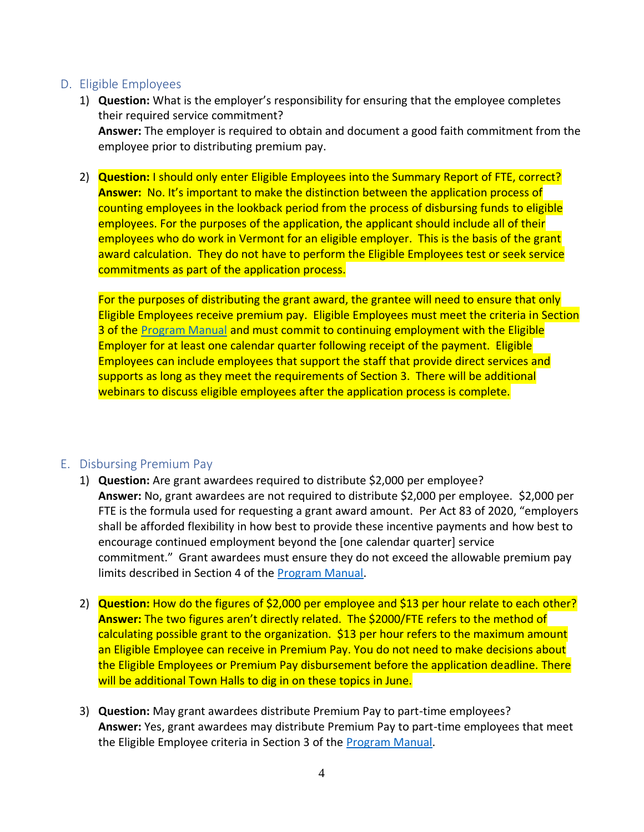## D. Eligible Employees

- 1) **Question:** What is the employer's responsibility for ensuring that the employee completes their required service commitment? **Answer:** The employer is required to obtain and document a good faith commitment from the employee prior to distributing premium pay.
- 2) **Question:** I should only enter Eligible Employees into the Summary Report of FTE, correct? **Answer:** No. It's important to make the distinction between the application process of counting employees in the lookback period from the process of disbursing funds to eligible employees. For the purposes of the application, the applicant should include all of their employees who do work in Vermont for an eligible employer. This is the basis of the grant award calculation. They do not have to perform the Eligible Employees test or seek service commitments as part of the application process.

For the purposes of distributing the grant award, the grantee will need to ensure that only Eligible Employees receive premium pay. Eligible Employees must meet the criteria in Section 3 of the [Program Manual](https://humanservices.vermont.gov/sites/ahsnew/files/documents/Premium%20Pay%20Program%20Guidance.pdf) and must commit to continuing employment with the Eligible Employer for at least one calendar quarter following receipt of the payment. Eligible Employees can include employees that support the staff that provide direct services and supports as long as they meet the requirements of Section 3. There will be additional webinars to discuss eligible employees after the application process is complete.

### E. Disbursing Premium Pay

- 1) **Question:** Are grant awardees required to distribute \$2,000 per employee? **Answer:** No, grant awardees are not required to distribute \$2,000 per employee. \$2,000 per FTE is the formula used for requesting a grant award amount. Per Act 83 of 2020, "employers shall be afforded flexibility in how best to provide these incentive payments and how best to encourage continued employment beyond the [one calendar quarter] service commitment." Grant awardees must ensure they do not exceed the allowable premium pay limits described in Section 4 of the [Program Manual.](https://humanservices.vermont.gov/sites/ahsnew/files/documents/Premium%20Pay%20Program%20Guidance.pdf)
- 2) **Question:** How do the figures of \$2,000 per employee and \$13 per hour relate to each other? **Answer:** The two figures aren't directly related. The \$2000/FTE refers to the method of calculating possible grant to the organization. \$13 per hour refers to the maximum amount an Eligible Employee can receive in Premium Pay. You do not need to make decisions about the Eligible Employees or Premium Pay disbursement before the application deadline. There will be additional Town Halls to dig in on these topics in June.
- 3) **Question:** May grant awardees distribute Premium Pay to part-time employees? **Answer:** Yes, grant awardees may distribute Premium Pay to part-time employees that meet the Eligible Employee criteria in Section 3 of the **Program Manual**.